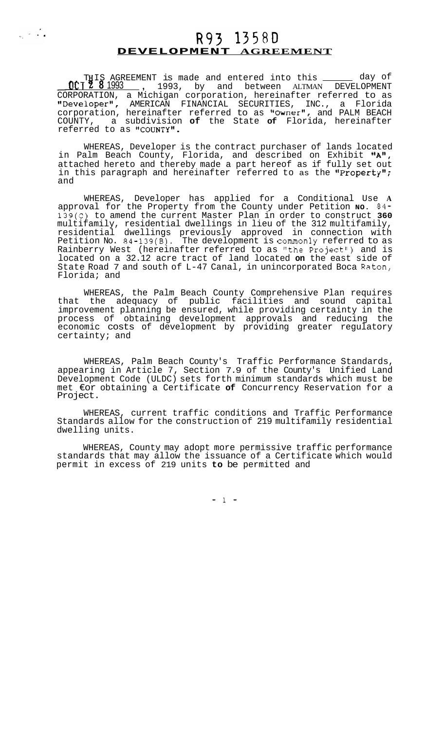## **DEVELOPMENT AGREEMENT**

 $\frac{1}{\left\| \mathbf{e}_{k}\right\|^{2}}\left\| \mathbf{e}_{k}\right\|^{2}\leq\frac{1}{\left\| \mathbf{e}_{k}\right\|^{2}}\text{.}$ 

THIS AGREEMENT is made and entered into this<br>CT 2 8 1993 , 1993, by and between ALTMAN<br>PORATION a Michigan corporation bereinafter r ENT is made and entered into this \_\_\_\_\_\_\_ day of<br>, 1993, by and between ALTMAN DEVELOPMENT CORPORATION, a Michigan corporation, hereinafter referred to as "Developer", AMERICAN FINANCIAL SECURITIES, INC., a Florida corporation, hereinafter referred to as "Owner", and PALM BEACH COUNTY, a subdivision **of** the State **of** Florida, hereinafter referred to as "COUNTY".

WHEREAS, Developer is the contract purchaser of lands located in Palm Beach County, Florida, and described on Exhibit **"At1,**  attached hereto and thereby made a part hereof as if fully set out in this paragraph and hereinafter referred to as the "Property"; and

WHEREAS, Developer has applied for a Conditional Use **A**  approval for the Property from the County under Petition **NO. 84-**  139(C) to amend the current Master Plan in order to construct **360**  multifamily, residential dwellings in lieu of the 312 multifamily, residential dwellings previously approved in connection with Petition No. 84-139(B). The development is commonly referred to as Rainberry West (hereinafter referred to as "the Project") and is located on a 32.12 acre tract of land located **on** the east side of State Road 7 and south of L-47 Canal, in unincorporated Boca Raton, Florida; and

WHEREAS, the Palm Beach County Comprehensive Plan requires that the adequacy of public facilities and sound capital improvement planning be ensured, while providing certainty in the process of obtaining development approvals and reducing the economic costs of development by providing greater regulatory certainty; and

WHEREAS, Palm Beach County's Traffic Performance Standards, appearing in Article 7, Section 7.9 of the County's Unified Land Development Code (ULDC) sets forth minimum standards which must be met €or obtaining a Certificate **of** Concurrency Reservation for a Project.

WHEREAS, current traffic conditions and Traffic Performance Standards allow for the construction of 219 multifamily residential dwelling units.

WHEREAS, County may adopt more permissive traffic performance standards that may allow the issuance of a Certificate which would permit in excess of 219 units **to** be permitted and

-1-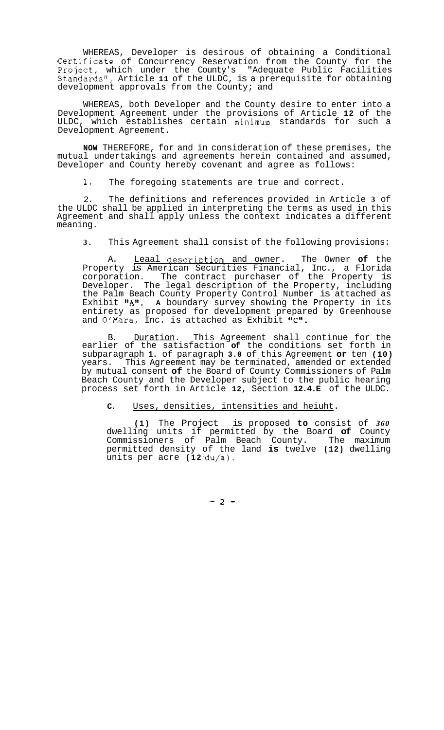WHEREAS, Developer is desirous of obtaining a Conditional Certificate of Concurrency Reservation from the County for the Project, which under the County's "Adequate Public Facilities Standards1', Article **11** of the ULDC, is a prerequisite for obtaining development approvals from the County; and

WHEREAS, both Developer and the County desire to enter into a Development Agreement under the provisions of Article **12** of the ULDC, which establishes certain minimum standards for such a Development Agreement.

**NOW** THEREFORE, for and in consideration of these premises, the mutual undertakings and agreements herein contained and assumed, Developer and County hereby covenant and agree as follows:

**1.** The foregoing statements are true and correct.

2. The definitions and references provided in Article **3** of the ULDC shall be applied in interpreting the terms as used in this Agreement and shall apply unless the context indicates a different meaning.

**3.** This Agreement shall consist of the following provisions:

A. Leaal description and owner. The Owner of the Property is American Securities Financial, Inc., a Florida corporation. The contract purchaser of the Property is Developer. The legal description of the Property, including the Palm Beach County Property Control Number is attached as Exhibit "A". A boundary survey showing the Property in its entirety as proposed for development prepared by Greenhouse and O'Mara, Inc. is attached as Exhibit "C".

B. Duration. This Agreement shall continue for the earlier of the satisfaction **of** the conditions set forth in subparagraph **1.** of paragraph **3.0** of this Agreement **or** ten **(10)**  years. This Agreement may be terminated, amended or extended by mutual consent **of** the Board of County Commissioners of Palm Beach County and the Developer subject to the public hearing process set forth in Article **12,** Section **12.4.E** of the ULDC.

**C.** Uses, densities, intensities and heiuht.

**(1)** The Project is proposed **to** consist of *360*  dwelling units if permitted by the Board **of** County Commissioners of Palm Beach County. The maximum permitted density of the land **is** twelve **(12)** dwelling units per acre (12 du/a).

-2-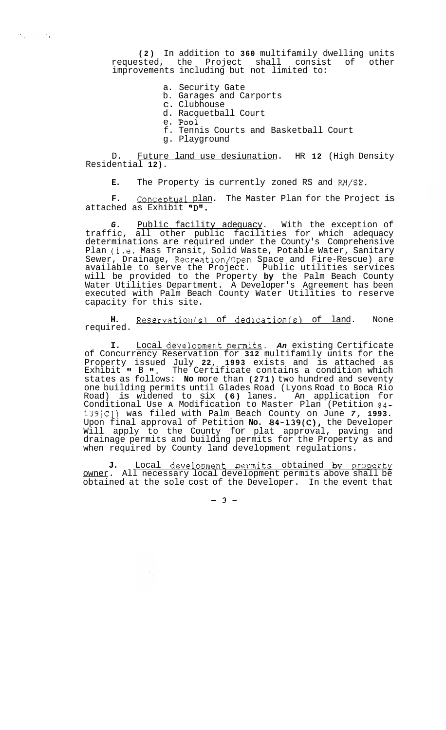**(2)** In addition to **360** multifamily dwelling units requested, the Project shall consist of other improvements including but not limited to:

- a. Security Gate
- b. Garages and Carports
- c. Clubhouse
- d. Racquetball Court
- e. pool

 $\mathcal{N}_{\rm eff}$  and  $\mathcal{N}_{\rm eff}$ 

- f. Tennis Courts and Basketball Court
- g. Playground

D. Future land use desiunation. HR **12** (High Density Residential **12).** 

**E.** The Property is currently zoned RS and RM/SE.

F. Conceptual plan. The Master Plan for the Project is attached as Exhibit "D".

*G.* Public facility adequacy. With the exception of traffic, all other public facilities for which adequacy determinations are required under the County's Comprehensive Plan (i.e. Mass Transit, Solid Waste, Potable Water, Sanitary Sewer, Drainage, Recreation/Open Space and Fire-Rescue) are available to serve the Project. Public utilities services will be provided to the Property **by** the Palm Beach County Water Utilities Department. A Developer's Agreement has been executed with Palm Beach County Water Utilities to reserve capacity for this site.

**H.** <u>Reservation(s) of dedication(s) of land</u>. None required.

**I.** Local development permits. An existing Certificate of Concurrency Reservation for **312** multifamily units for the Property issued July **22, 1993** exists and is attached as Exhibit<sup>t</sup> B ". The Certificate contains a condition which states as follows: **No** more than **(271)** two hundred and seventy one building permits until Glades Road (Lyons Road to Boca Rio Road) is widened to six **(6)** lanes. An application for Conditional Use **A** Modification to Master Plan (Petition **84- 139[C])** was filed with Palm Beach County on June *7,* **1993.**  Upon final approval of Petition **No. 84-139(C),** the Developer Will apply to the County for plat approval, paving and drainage permits and building permits for the Property as and when required by County land development regulations.

J. **Local development permits obtained by property** owner. All necessary local development permits above shall be obtained at the sole cost of the Developer. In the event that

 $-3-$ 

 $\frac{1}{\sqrt{2}}$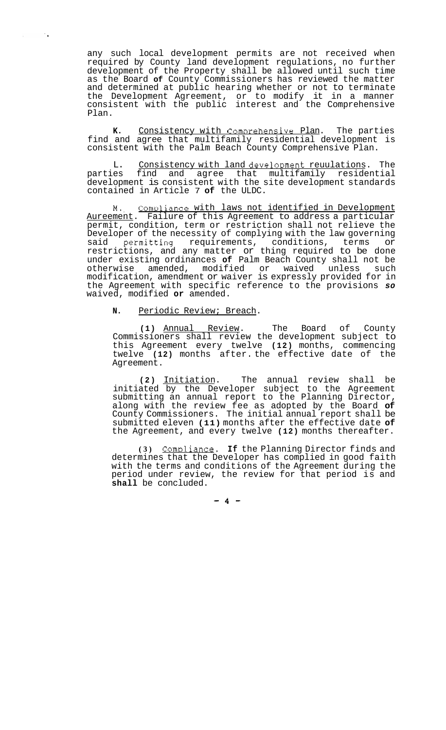any such local development permits are not received when required by County land development regulations, no further development of the Property shall be allowed until such time as the Board **of** County Commissioners has reviewed the matter and determined at public hearing whether or not to terminate the Development Agreement, or to modify it in a manner consistent with the public interest and the Comprehensive Plan.

K. Consistency with Comprehensive Plan. The parties find and agree that multifamily residential development is consistent with the Palm Beach County Comprehensive Plan.

L. Consistency with land development reuulations. The parties find and agree that multifamily residential development is consistent with the site development standards contained in Article 7 **of** the ULDC.

**M..** ComDliance with laws not identified in Development Aureement. Failure of this Agreement to address a particular permit, condition, term or restriction shall not relieve the Developer of the necessity of complying with the law governing said permitting requirements, conditions, terms or restrictions, and any matter or thing required to be done under existing ordinances **of** Palm Beach County shall not be otherwise amended, modified or waived unless such modification, amendment or waiver is expressly provided for in the Agreement with specific reference to the provisions *so*  waived, modified **or** amended.

## **N.** Periodic Review; Breach.

 $\sim$   $\sim$ 

**(1)** Annual Review. The Board of County Commissioners shall review the development subject to this Agreement every twelve **(12)** months, commencing twelve **(12)** months after. the effective date of the Agreement.

**(2)** Initiation. The annual review shall be initiated by the Developer subject to the Agreement submitting an annual report to the Planning Director, along with the review fee as adopted by the Board **of**  County Commissioners. The initial annual report shall be submitted eleven **(11)** months after the effective date **of**  the Agreement, and every twelve **(12)** months thereafter.

(3) Compliance. If the Planning Director finds and determines that the Developer has complied in good faith with the terms and conditions of the Agreement during the period under review, the review for that period is and **shall** be concluded.

 $-4-$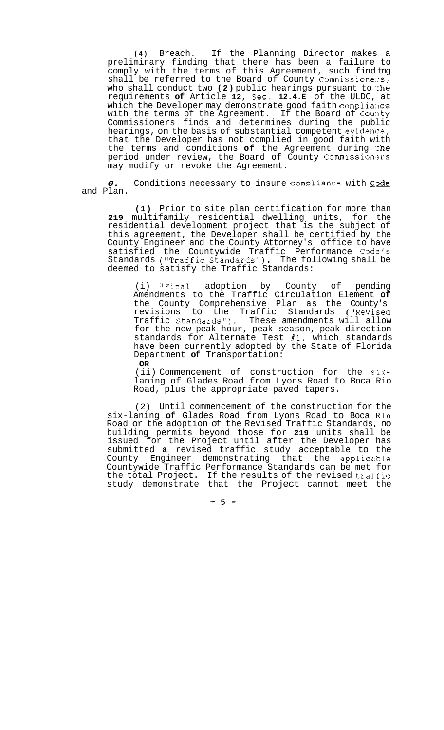**(4)** Breach. If the Planning Director makes a preliminary finding that there has been a failure to comply with the terms of this Agreement, such find tng shall be referred to the Board of County Commissione: $s$ , who shall conduct two (2) public hearings pursuant to the requirements **of** Article **12,** Sec. **12.4.E** of the ULDC, at which the Developer may demonstrate good faith compliance with the terms of the Agreement. If the Board of County Commissioners finds and determines during the public hearings, on the basis of substantial competent evidence,  $\overline{\phantom{a}}$ that the Developer has not complied in good faith with the terms and conditions of the Agreement during the period under review, the Board of County Commissioners may modify or revoke the Agreement.

*0.* Conditions necessary to insure compliance with C<sub>2</sub>de and Plan.

**(1)** Prior to site plan certification for more than **219** multifamily residential dwelling units, for the residential development project that is the subject of this agreement, the Developer shall be certified by the County Engineer and the County Attorney's office to have satisfied the Countywide Traffic Performance Code's Standards ("Traffic Standards"). The following shall be deemed to satisfy the Traffic Standards:

(i) "Final adoption by County of pending Amendments to the Traffic Circulation Element **of**  the County Comprehensive Plan as the County's revisions to the Traffic Standards ("Revised Traffic Standards"). These amendments will allow for the new peak hour, peak season, peak direction standards for Alternate Test **#1,** which standards have been currently adopted by the State of Florida Department **of** Transportation: **OR** 

(ii) Commencement of construction for the sixlaning of Glades Road from Lyons Road to Boca Rio Road, plus the appropriate paved tapers.

(2) Until commencement of the construction for the six-laning **of** Glades Road from Lyons Road to Boca Rio Road or the adoption of the Revised Traffic Standards, no building permits beyond those for **219** units shall be issued for the Project until after the Developer has submitted **a** revised traffic study acceptable to the County Engineer demonstrating that the applicz.ble Countywide Traffic Performance Standards can be met for the total Project. If the results of the revised traffic study demonstrate that the Project cannot meet the

 $-5-$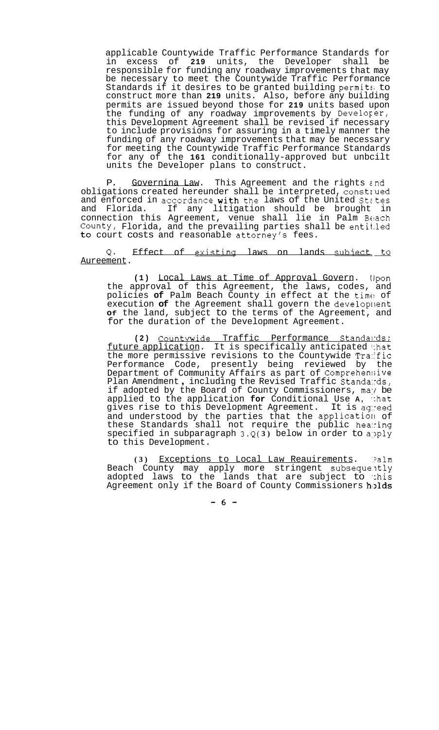applicable Countywide Traffic Performance Standards for<br>in excess of 219 units, the Developer shall be in excess of 219 units, the Developer shall responsible for funding any roadway improvements that may be necessary to meet the Countywide Traffic Performance Standards if it desires to be granted building permits to construct more than **219** units. Also, before any building permits are issued beyond those for **219** units based upon the funding of any roadway improvements by Developer, this Development Agreement shall be revised if necessary to include provisions for assuring in a timely manner the funding of any roadway improvements that may be necessary for meeting the Countywide Traffic Performance Standards for any of the **161** conditionally-approved but unbcilt units the Developer plans to construct.

P. Governina Law. This Agreement and the rights and obligations created hereunder shall be interpreted, construed and enforced in accordance with the laws of the United States and Florida. If any litigation should be brought in connection this Agreement, venue shall lie in Palm Btlach County, Florida, and the prevailing parties shall be entit.led to court costs and reasonable attorney's fees.

Q. Effect of existing laws on lands subject to Aureement.

**(1)** Local Laws at Time of Approval Govern. IJpon the approval of this Agreement, the laws, codes, and policies **of** Palm Beach County in effect at the time! of execution of the Agreement shall govern the development **Of** the land, subject to the terms of the Agreement, and for the duration of the Development Agreement.

**(2)** Countwide Traffic Performance Standalrds; future application. It is specifically anticipated 'hat the more permissive revisions to the Countywide Traffic Performance Code, presently being reviewed by the Department of Community Affairs as part of Comprehen:;ive Plan Amendment , including the Revised Traffic Standa:rds, if adopted by the Board of County Commissioners, may be applied to the application **for** Conditional Use **A,** .:hat gives rise to this Development Agreement. It is agreed and understood by the parties that the application of these Standards shall not require the public hearing specified in subparagraph  $3.Q(3)$  below in order to apply to this Development.

**(3)** Exceptions to Local Law Reauirements. '?alm Beach County may apply more stringent subsequently adopted laws to the lands that are subject to :his Agreement only if the Board of County Commissioners **holds** 

*-6-*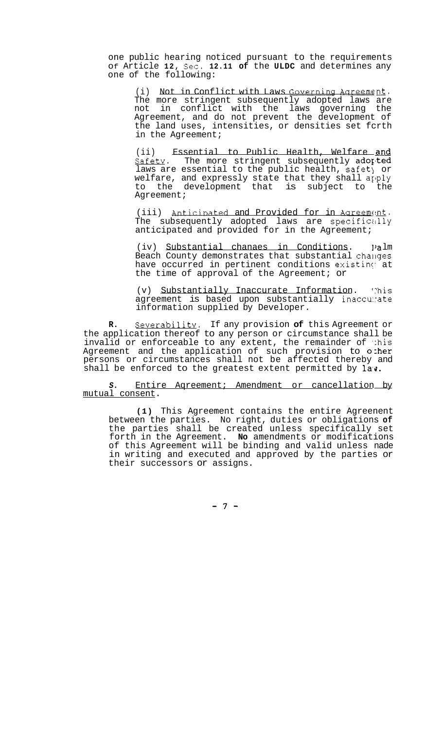one public hearing noticed pursuant to the requirements Of Article **12,** Sec. **12.11 of** the **ULDC** and determines any one of the following:

(i) Not in Conflict with Laws Governing Aareement. The more stringent subsequently adopted laws are not in conflict with the laws governing the Agreement, and do not prevent the development of the land uses, intensities, or densities set fcrth in the Agreement;

(ii) Essential to Public Health, Welfare **and**  Safety. The more stringent subsequently adorted laws are essential to the public health, safet) or welfare, and expressly state that they shall apply to the development that is subject to the Agreement;

(iii) Anticipated and Provided for in Agreement. The subsequently adopted laws are specifically anticipated and provided for in the Agreement;

(iv) Substantial chanaes in Conditions. ])a lm Beach County demonstrates that substantial changes have occurred in pertinent conditions existing at the time of approval of the Agreement; or

(v) Substantially Inaccurate Information. 'his agreement is based upon substantially inaccumate information supplied by Developer.

**R.** Severability. If any provision **of** this Agreement or the application thereof to any person or circumstance shall be invalid or enforceable to any extent, the remainder of  $\therefore$ his Agreement and the application of such provision to other persons or circumstances shall not be affected thereby and shall be enforced to the greatest extent permitted by  $l$ av.

*S.* Entire Aqreement; Amendment or cancellation by mutual consent.

**(1)** This Agreement contains the entire Agreenent between the parties. No right, duties or obligations **of**  the parties shall be created unless specifically set forth in the Agreement. **No** amendments or modifications of this Agreement will be binding and valid unless nade in writing and executed and approved by the parties or their successors or assigns.

*-7-*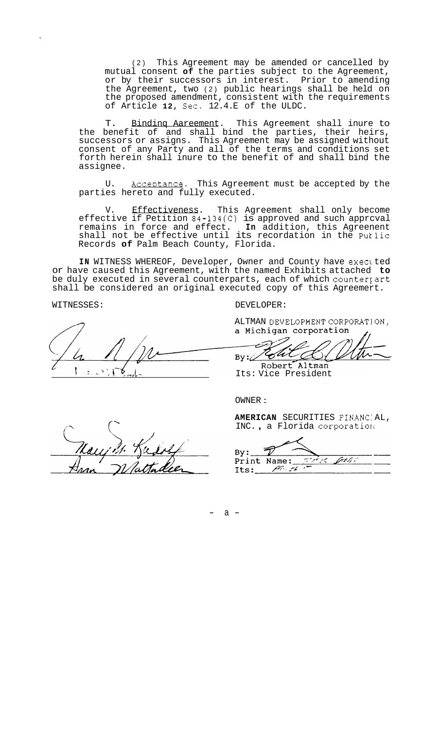(2) This Agreement may be amended or cancelled by mutual consent **of** the parties subject to the Agreement, or by their successors in interest. Prior to amending the Agreement, two (2) public hearings shall be held on the proposed amendment, consistent with the requirements of Article **12,** Sec. 12.4.E of the ULDC.

T. Bindinq Aareement. This Agreement shall inure to the benefit of and shall bind the parties, their heirs, successors or assigns. This Agreement may be assigned without consent of any Party and all of the terms and conditions set forth herein shall inure to the benefit of and shall bind the assignee.

U. Acceptance. This Agreement must be accepted by the parties hereto and fully executed.

V. Effectiveness. This Agreement shall only become effective if Petition 84-134(C) is approved and such apprcval remains in force and effect. **In** addition, this Agreenent shall not be effective until its recordation in the Puklic Records **of** Palm Beach County, Florida.

**IN** WITNESS WHEREOF, Developer, Owner and County have exea ted or have caused this Agreement, with the named Exhibits attached **to**  be duly executed in several counterparts, each of which countery art shall be considered an original executed copy of this Agreemert.

WITNESSES: DEVELOPER:

ALTMAN DEVELOPMENT CORPORATION,<br>a Michigan corporation

ON ,<br> $\overline{\phantom{a}}$ D \_c Flir  $By:$ Robert Altman

Its: Vice President

OWNER :

**AMERICAN** SECURITIES FINANC: AL, INC., a Florida corporation

 $By:$ part t Print Name: لاس بهجم  $Its:$ 

 $\int$ 

 $a -$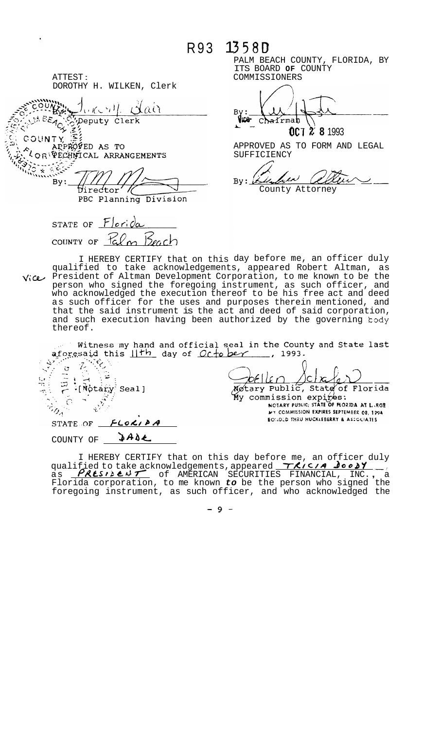R93 1358D

ATTEST : DOROTHY H. WILKEN, Clerk

 $(\kappa \in \mathcal{V})$   $\Delta$  $\hat{a}$ **By:** Copeputy Clerk

UNTY, APPROFED AS TO RECHIFICAL ARRANGEMENTS

By: Virector PBC Planning Division

STATE OF  $F|ori\alpha$ Beach COUNTY OF  $\mathcal{L}_{\infty}$ 

PALM BEACH COUNTY, FLORIDA, BY ITS BOARD **OF** COUNTY COMMISSIONERS

**Let** Chairmab **CCT 2** 8 1993

APPROVED AS TO FORM AND LEGAL SUFFICIENCY

'uv  $\widetilde{\mu}$  $Bv:$ 

County Attorney

I HEREBY CERTIFY that on this day before me, an officer duly qualified to take acknowledgements, appeared Robert Altman, as<br>Vice/ President of Altman Development Corporation, to me known to be the person who signed the foregoing instrument, as such officer, and who acknowledged the execution thereof to be his free act and deed as such officer for the uses and purposes therein mentioned, and that the said instrument is the act and deed of said corporation, and such execution having been authorized by the governing  $body$ thereof.

Witness my hand and official seal in the County and State last aforesaid this  $11th$  day of  $0c$  to be  $\gamma$ , 1993.

 $\frac{d}{d}$  $\overline{z}$ ੇ pellen  $\mathfrak{U}$ (Notary Seal) Motary Public, State of Florida My commission expi $\not\!\! E$ es:  $\mathbf{z}$  $\subset$ NOTARY PUBLIC; STATE OF FLORIDA AT LARGE  $r_{\theta_A}$ **MY COMMISSION EXPIRES SEPTEMBER 08, 1994 EONDED THRU HUCKLEBERRY & ASSOCIATES**  $FLOX/PA$ STATE OF \_ COUNTY OF **3ADE** 

I HEREBY CERTIFY that on this day before me, an officer duly qualified to take acknowledgements, appeared *7'X/c/R doob2'* -, qualified to take acknowledgements, appeared <u>TAICIA Joody</u><br>as <u>PALSIBLUIT</u> of AMERICAN SECURITIES FINANCIAL, INC., a Florida corporation, to me known *to* be the person who signed the foregoing instrument, as such officer, and who acknowledged the

*-9-*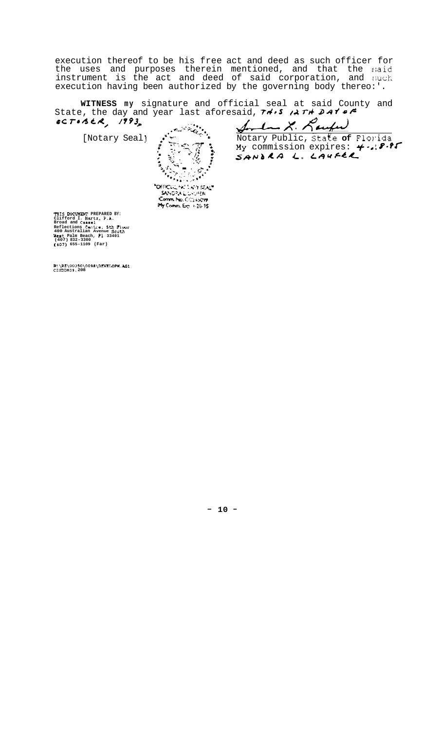execution thereof to be his free act and deed as such officer for the uses and purposes therein mentioned, and that the said<br>instrument is the act and deed of said corporation, and such<br>execution having been authorized by the governing body thereo:'.

WITNESS my signature and official seal at said County and<br>State, the day and year last aforesaid,  $74.5$   $14.74$   $2.47$  $0CTiSER, 1993$ 

[Notary Seal]

. marketing 深思 ٣ī, **Parageter**  $\begin{split} \mathcal{L}^{(1)}_{\mathcal{M}} = \mathcal{L}^{(1)}_{\mathcal{M}} \mathcal{L}^{(1)}_{\mathcal{M}} = \mathcal{L}^{(1)}_{\mathcal{M}} \mathcal{L}^{(1)}_{\mathcal{M}} \mathcal{L}^{(1)}_{\mathcal{M}} \mathcal{L}^{(1)}_{\mathcal{M}} \mathcal{L}^{(1)}_{\mathcal{M}} \mathcal{L}^{(1)}_{\mathcal{M}} \mathcal{L}^{(1)}_{\mathcal{M}} \mathcal{L}^{(1)}_{\mathcal{M}} \mathcal{L}^{(1)}_{\mathcal{M}} \mathcal{L}^{(1$  $\cdot$   $\circ$ **"DEPICULLARE LAPY SEAL"**<br>SANDRA LIDOURER<br>Comm. No. CC233099<br>My Comm. Exp. 426-95

Somban X Laufer Notary Public, State of Florida<br>My commission expires: 4.18.95

THIS DOCUMENT PREPARED BY:<br>Clifford I. Hertz, P.A.<br>Broad and Cassel<br>Reflections Centre, 5th Floor<br>400 Australian Avenue South<br>West Paim Beach, Pl 33401<br>(407) 832-3300<br>(407) 655-1109 (Far)

R:\RE\00350\0098\DEVELOPM.AG1<br>CIHDDN09.208

 $-10 -$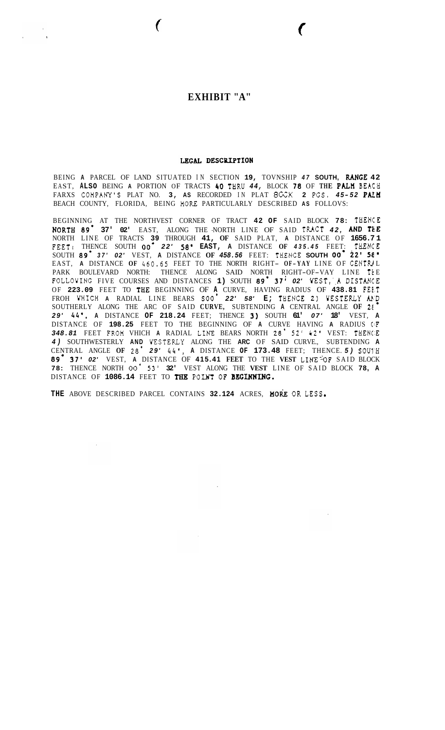## **EXHIBIT "A"**

 $\overline{ }$ 

## LEGAL DESCRIPTION

BEING **A** PARCEL OF LAND SITUATED IN SECTION **19,** TOVNSHIP *47* **SOUTH,** *RANGE* **42**  EAST, **ALSO** BEING **A** PORTION OF TRACTS **40** THRU *44,* BLOCK *78* OF **THE** Pan **BEACH**  FARXS COHPANY'S PLAT NO. **3, AS** RECORDED IN PLAT **BKK 2 PGS.** *4 5 - <sup>52</sup>***PAL <sup>K</sup>** BEACH COUNTY, FLORIDA, BEING **HOKE** PARTICULARLY DESCRIBED **AS** FOLLOVS:

BEGINNING AT THE NORTHVEST CORNER OF TRACT **42 OF** SAID BLOCK **78:** THENCE **NORTH** *89.* **37' 02'** EAST, ALONG THE -NORTH LINE OF SAID TRACT *42, AND* **TEE**  NORTH LINE OF TRACTS **39** THROUGH **41, OF** SAID PLAT, **A** DISTANCE OF **1656.7 1**  FEET: THENCE SOUTH 00<sup>°</sup> 22' 58' EAST, A DISTANCE OF 435.45 FEET: THENCE<br>SOUTH 89<sup>°</sup> 37' 02' VEST, A DISTANCE OF 458.56 FEET: THENCE SOUTH 00<sup>°</sup> 22' 58" EAST, **A** DISTANCE **OF** *460.65* FEET TO THE NORTH RIGHT- **O F- YAY** LINE OF CENTRl L PARK BOULEVARD NORTH: THENCE ALONG SAID NORTH RIGHT-OF-VAY LINE **Ik** <sup>E</sup> FOLLOVING FIVE COURSES AND DISTANCES **1)** SOUTH *89.* **37;** *02'* VEST,',A DISTANCE OF **223.09** FEET TO THE BEGINNING OF **A** CURVE, HAVING RADIUS OF **438.81 FEEST**  FROH YHICH **A** RADIAL LINE BEARS **SOO.** *22' 58'* **E;** THBNCE *2)* WESTERLY **AE'D**  SOUTHERLY ALONG THE ARC OF SAID **CURVE,** SUBTENDING **A** CENTRAL ANGLE **OF 21**  *29' 44'.* **A** DISTANCE **OF 218.24** FEET; THENCE **3)** SOUTH **61'** *07'* **18'** VEST, **A**  DISTANCE OF **198.25** FEET TO THE BEGINNING OF **A** CURVE HAVING **A** RADIUS **ClF**  *348.81* FEET FROM VHICH **A** RADIAL LINE BEARS NORTH *28. 52' 42'* VEST: THENC:E *4)* SOUTHWESTERLY **AND** YESTERLY ALONG THE **ARC** OF SAID CURVE., SUBTENDING **A**  CENTRAL ANGLE **OF 28.** *29' 44'.* **A** DISTANCE **OF 173.48** FEET; THENCE. *5)* **SOUI'H**  *89.* **37'** *02'* VEST, **A** DISTANCE OF **415.41 FEET** TO THE **VEST** LINE-'oF SAID BLOCK **78:** THENCE NORTH *00.* **53' 32'** VEST ALONG THE **VEST** LINE OF SAID BLOCK **78, A**  DISTANCE OF **1086.14** FEET TO TBB **POUT OF BEGINNING.** 

THE ABOVE DESCRIBED PARCEL CONTAINS 32.124 ACRES, HORE OR LESS.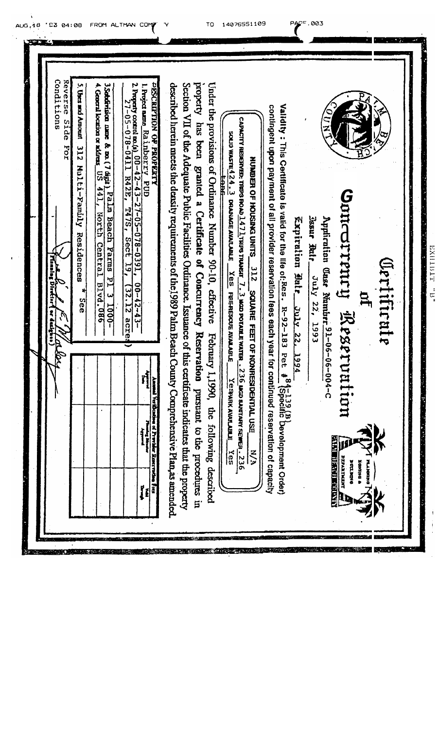Conditions Reverse Side For 4. General location or address  $\overline{05}$   $\overline{441}$ , North Central Blvd. 086 2. Property control to, 00-42-43-27-05-078-0391, 00-42-43-**PESCRITION OF PROPERTY** property has been granted a Certificate of Concurrency Reservation pursuant to the procedures in Under the provisions of Ordinance Number 90-10, effective February 1,1990, the following described 5. Uses and Amoun 312 Hulti-Familly Residences 3Sebdrison nane & no. (7 digit). Palm Beach Parms P1 3 1000described herein meets the density requirements of the 1989 Palm Beach County Comprehensive Plan, as amended Section VII of the Adequate Public Facilities Ordinance. Issuance of this certificate indicates that the property l. Project name\_Ralinberry\_FUD 27-05-078-0411 R42E, T47S, Sect 19, (32.12 acres Validity: This Certificate is valid for the life of  $Res.$   $R-92-183$   $Per$   $\frac{84-139}{3}$  ( $B$ )  $Be$   $B$ )  $Be$ contingent upon payment of all provider reservation fees each year for continued reservation of capacity CAPACITY RESERVED: TRUS ROAD  $\underline{1471}$  TRUS TRANSIT  $\underline{7.3}$  Mod potarle water  $\underline{1.236}$  mod santany sewer  $\underline{1.236}$ SOLD WASTE $4.24.2$  drawace avalued  $X$  essare respons avalued  $Y$  espir avalued  $X$  ess NUMBER OF HOUSING UNITS 312 SQUARE FEET OF NONRESIDENTIAL USE Unicorrenty Reservation Jasur Rule Unly 22, 1993 Applicution Class Number 91-06-06-004-C Expiration Batr\_July 22, 1994 "HXIIIIII" "B" Crab de la Context **Ortificate** \* See  $\tilde{t}$ m Ammal Verification of Previder Reservation Fors Handaly<br>Hanga Bayang **AND DESCRIPTION**  $\frac{M}{2}$ **BEARING REA** Trunent Y **E DATNO 2 DATION**  $\mathbf{R}$ 

14076551109

PACE.003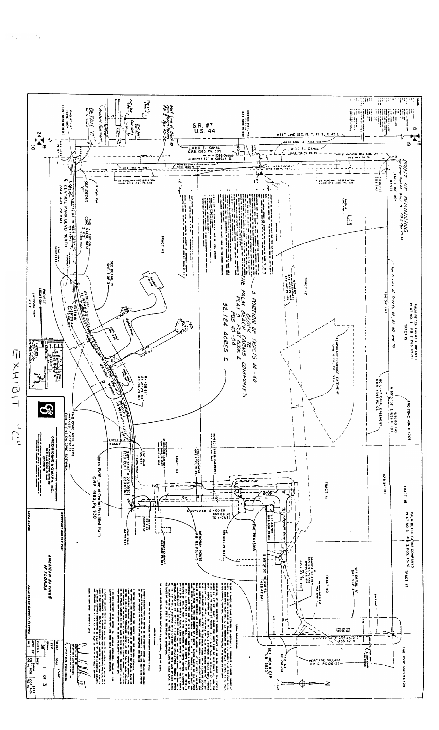

 $\ddot{\phantom{a}}$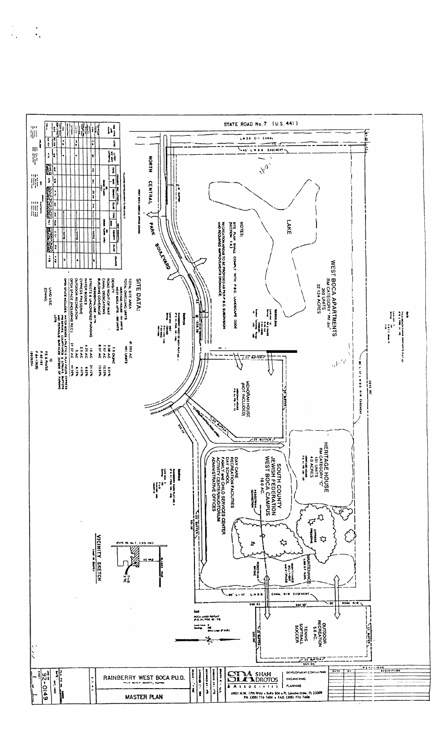

 $\ddot{\cdot}$